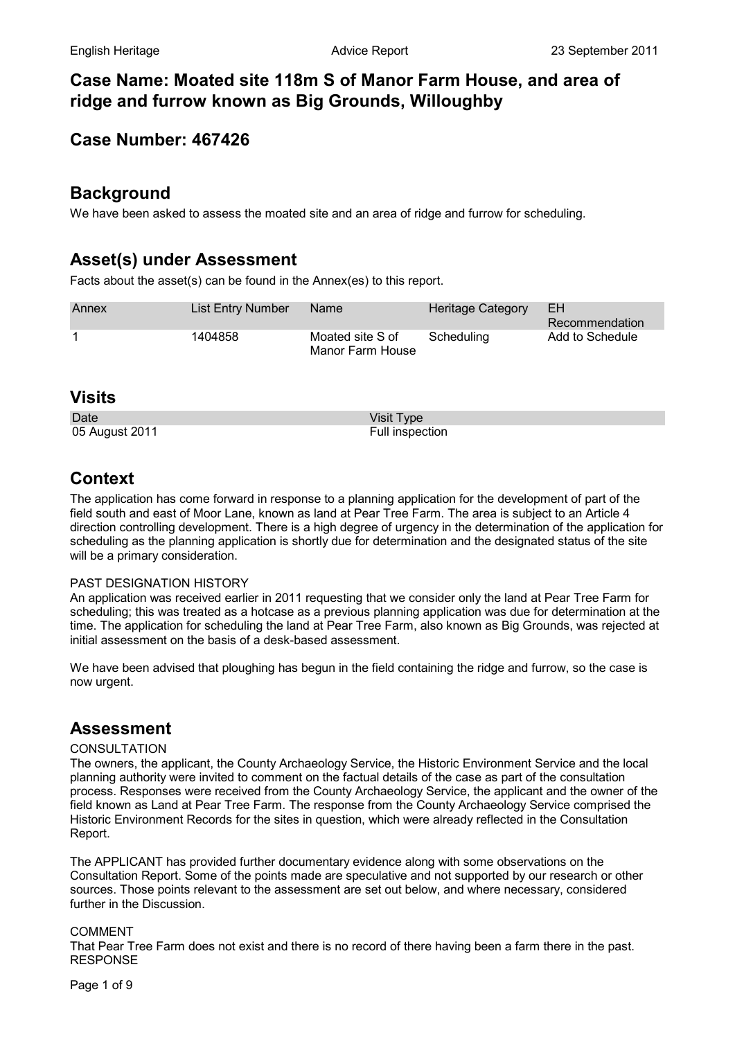# **Case Name: Moated site 118m S of Manor Farm House, and area of ridge and furrow known as Big Grounds, Willoughby**

# **Case Number: 467426**

## **Background**

We have been asked to assess the moated site and an area of ridge and furrow for scheduling.

# **Asset(s) under Assessment**

Facts about the asset(s) can be found in the Annex(es) to this report.

| Annex | List Entry Number | <b>Name</b>                          | Heritage Category | EН<br>Recommendation |
|-------|-------------------|--------------------------------------|-------------------|----------------------|
|       | 1404858           | Moated site S of<br>Manor Farm House | Scheduling        | Add to Schedule      |

### **Visits**

Date Visit Type Visit Type 05 August 2011 **Full inspection** 

# **Context**

The application has come forward in response to a planning application for the development of part of the field south and east of Moor Lane, known as land at Pear Tree Farm. The area is subject to an Article 4 direction controlling development. There is a high degree of urgency in the determination of the application for scheduling as the planning application is shortly due for determination and the designated status of the site will be a primary consideration.

### PAST DESIGNATION HISTORY

An application was received earlier in 2011 requesting that we consider only the land at Pear Tree Farm for scheduling; this was treated as a hotcase as a previous planning application was due for determination at the time. The application for scheduling the land at Pear Tree Farm, also known as Big Grounds, was rejected at initial assessment on the basis of a desk-based assessment.

We have been advised that ploughing has begun in the field containing the ridge and furrow, so the case is now urgent.

# **Assessment**

### **CONSULTATION**

The owners, the applicant, the County Archaeology Service, the Historic Environment Service and the local planning authority were invited to comment on the factual details of the case as part of the consultation process. Responses were received from the County Archaeology Service, the applicant and the owner of the field known as Land at Pear Tree Farm. The response from the County Archaeology Service comprised the Historic Environment Records for the sites in question, which were already reflected in the Consultation Report.

The APPLICANT has provided further documentary evidence along with some observations on the Consultation Report. Some of the points made are speculative and not supported by our research or other sources. Those points relevant to the assessment are set out below, and where necessary, considered further in the Discussion.

### **COMMENT**

That Pear Tree Farm does not exist and there is no record of there having been a farm there in the past. RESPONSE

Page 1 of 9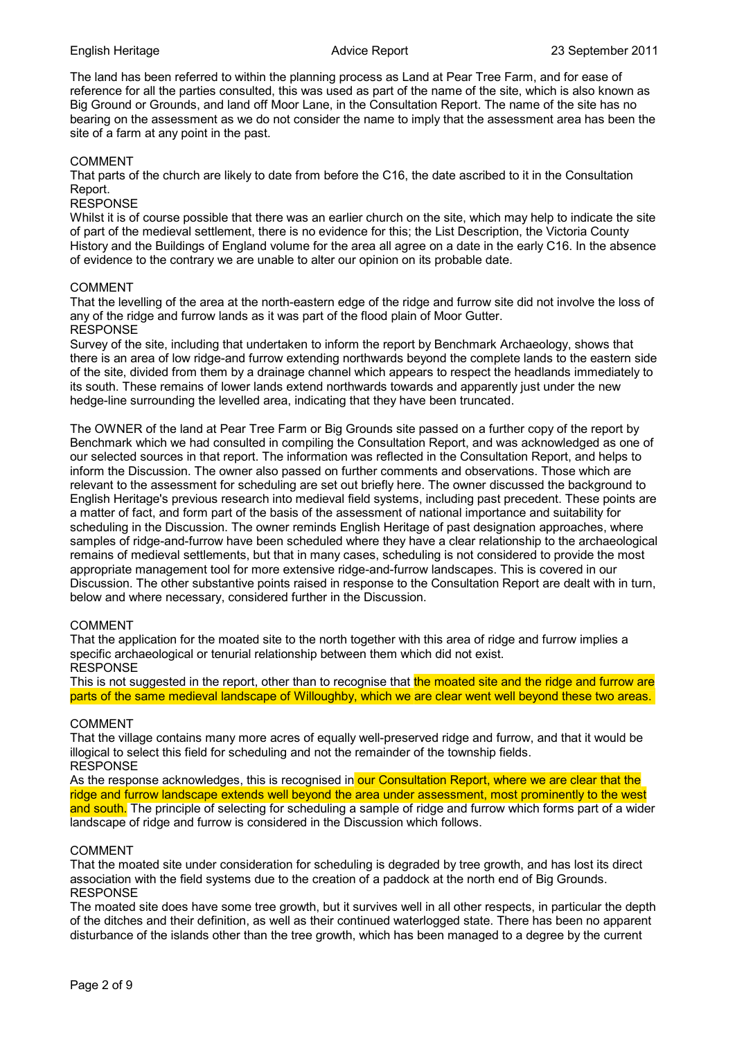The land has been referred to within the planning process as Land at Pear Tree Farm, and for ease of reference for all the parties consulted, this was used as part of the name of the site, which is also known as Big Ground or Grounds, and land off Moor Lane, in the Consultation Report. The name of the site has no bearing on the assessment as we do not consider the name to imply that the assessment area has been the site of a farm at any point in the past.

#### COMMENT

That parts of the church are likely to date from before the C16, the date ascribed to it in the Consultation Report.

#### RESPONSE

Whilst it is of course possible that there was an earlier church on the site, which may help to indicate the site of part of the medieval settlement, there is no evidence for this; the List Description, the Victoria County History and the Buildings of England volume for the area all agree on a date in the early C16. In the absence of evidence to the contrary we are unable to alter our opinion on its probable date.

#### COMMENT

That the levelling of the area at the north-eastern edge of the ridge and furrow site did not involve the loss of any of the ridge and furrow lands as it was part of the flood plain of Moor Gutter. RESPONSE

Survey of the site, including that undertaken to inform the report by Benchmark Archaeology, shows that there is an area of low ridge-and furrow extending northwards beyond the complete lands to the eastern side of the site, divided from them by a drainage channel which appears to respect the headlands immediately to its south. These remains of lower lands extend northwards towards and apparently just under the new hedge-line surrounding the levelled area, indicating that they have been truncated.

The OWNER of the land at Pear Tree Farm or Big Grounds site passed on a further copy of the report by Benchmark which we had consulted in compiling the Consultation Report, and was acknowledged as one of our selected sources in that report. The information was reflected in the Consultation Report, and helps to inform the Discussion. The owner also passed on further comments and observations. Those which are relevant to the assessment for scheduling are set out briefly here. The owner discussed the background to English Heritage's previous research into medieval field systems, including past precedent. These points are a matter of fact, and form part of the basis of the assessment of national importance and suitability for scheduling in the Discussion. The owner reminds English Heritage of past designation approaches, where samples of ridge-and-furrow have been scheduled where they have a clear relationship to the archaeological remains of medieval settlements, but that in many cases, scheduling is not considered to provide the most appropriate management tool for more extensive ridge-and-furrow landscapes. This is covered in our Discussion. The other substantive points raised in response to the Consultation Report are dealt with in turn, below and where necessary, considered further in the Discussion.

#### COMMENT

That the application for the moated site to the north together with this area of ridge and furrow implies a specific archaeological or tenurial relationship between them which did not exist. RESPONSE

This is not suggested in the report, other than to recognise that the moated site and the ridge and furrow are parts of the same medieval landscape of Willoughby, which we are clear went well beyond these two areas.

#### COMMENT

That the village contains many more acres of equally well-preserved ridge and furrow, and that it would be illogical to select this field for scheduling and not the remainder of the township fields. **RESPONSE** 

As the response acknowledges, this is recognised in our Consultation Report, where we are clear that the ridge and furrow landscape extends well beyond the area under assessment, most prominently to the west and south. The principle of selecting for scheduling a sample of ridge and furrow which forms part of a wider landscape of ridge and furrow is considered in the Discussion which follows.

#### COMMENT

That the moated site under consideration for scheduling is degraded by tree growth, and has lost its direct association with the field systems due to the creation of a paddock at the north end of Big Grounds. RESPONSE

The moated site does have some tree growth, but it survives well in all other respects, in particular the depth of the ditches and their definition, as well as their continued waterlogged state. There has been no apparent disturbance of the islands other than the tree growth, which has been managed to a degree by the current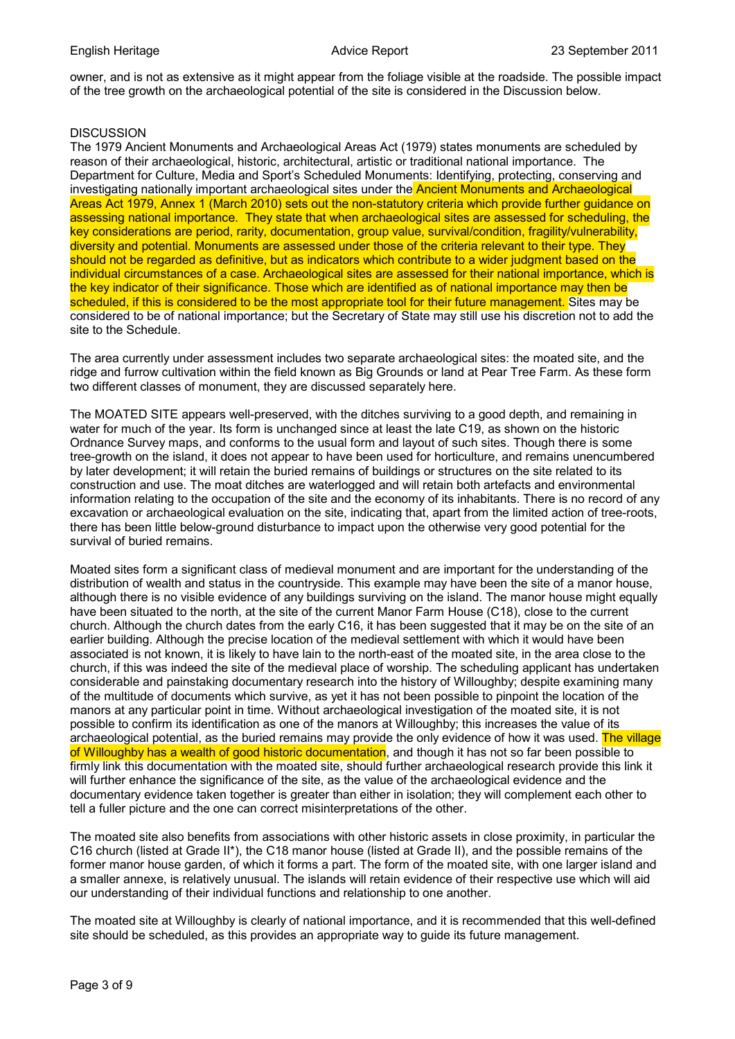owner, and is not as extensive as it might appear from the foliage visible at the roadside. The possible impact of the tree growth on the archaeological potential of the site is considered in the Discussion below.

#### **DISCUSSION**

The 1979 Ancient Monuments and Archaeological Areas Act (1979) states monuments are scheduled by reason of their archaeological, historic, architectural, artistic or traditional national importance. The Department for Culture, Media and Sport's Scheduled Monuments: Identifying, protecting, conserving and investigating nationally important archaeological sites under the Ancient Monuments and Archaeological Areas Act 1979, Annex 1 (March 2010) sets out the non-statutory criteria which provide further guidance on assessing national importance. They state that when archaeological sites are assessed for scheduling, the key considerations are period, rarity, documentation, group value, survival/condition, fragility/vulnerability, diversity and potential. Monuments are assessed under those of the criteria relevant to their type. They should not be regarded as definitive, but as indicators which contribute to a wider judgment based on the individual circumstances of a case. Archaeological sites are assessed for their national importance, which is the key indicator of their significance. Those which are identified as of national importance may then be scheduled, if this is considered to be the most appropriate tool for their future management. Sites may be considered to be of national importance; but the Secretary of State may still use his discretion not to add the site to the Schedule.

The area currently under assessment includes two separate archaeological sites: the moated site, and the ridge and furrow cultivation within the field known as Big Grounds or land at Pear Tree Farm. As these form two different classes of monument, they are discussed separately here.

The MOATED SITE appears well-preserved, with the ditches surviving to a good depth, and remaining in water for much of the year. Its form is unchanged since at least the late C19, as shown on the historic Ordnance Survey maps, and conforms to the usual form and layout of such sites. Though there is some tree-growth on the island, it does not appear to have been used for horticulture, and remains unencumbered by later development; it will retain the buried remains of buildings or structures on the site related to its construction and use. The moat ditches are waterlogged and will retain both artefacts and environmental information relating to the occupation of the site and the economy of its inhabitants. There is no record of any excavation or archaeological evaluation on the site, indicating that, apart from the limited action of tree-roots, there has been little below-ground disturbance to impact upon the otherwise very good potential for the survival of buried remains.

Moated sites form a significant class of medieval monument and are important for the understanding of the distribution of wealth and status in the countryside. This example may have been the site of a manor house, although there is no visible evidence of any buildings surviving on the island. The manor house might equally have been situated to the north, at the site of the current Manor Farm House (C18), close to the current church. Although the church dates from the early C16, it has been suggested that it may be on the site of an earlier building. Although the precise location of the medieval settlement with which it would have been associated is not known, it is likely to have lain to the north-east of the moated site, in the area close to the church, if this was indeed the site of the medieval place of worship. The scheduling applicant has undertaken considerable and painstaking documentary research into the history of Willoughby; despite examining many of the multitude of documents which survive, as yet it has not been possible to pinpoint the location of the manors at any particular point in time. Without archaeological investigation of the moated site, it is not possible to confirm its identification as one of the manors at Willoughby; this increases the value of its archaeological potential, as the buried remains may provide the only evidence of how it was used. The village of Willoughby has a wealth of good historic documentation, and though it has not so far been possible to firmly link this documentation with the moated site, should further archaeological research provide this link it will further enhance the significance of the site, as the value of the archaeological evidence and the documentary evidence taken together is greater than either in isolation; they will complement each other to tell a fuller picture and the one can correct misinterpretations of the other.

The moated site also benefits from associations with other historic assets in close proximity, in particular the C16 church (listed at Grade II\*), the C18 manor house (listed at Grade II), and the possible remains of the former manor house garden, of which it forms a part. The form of the moated site, with one larger island and a smaller annexe, is relatively unusual. The islands will retain evidence of their respective use which will aid our understanding of their individual functions and relationship to one another.

The moated site at Willoughby is clearly of national importance, and it is recommended that this well-defined site should be scheduled, as this provides an appropriate way to guide its future management.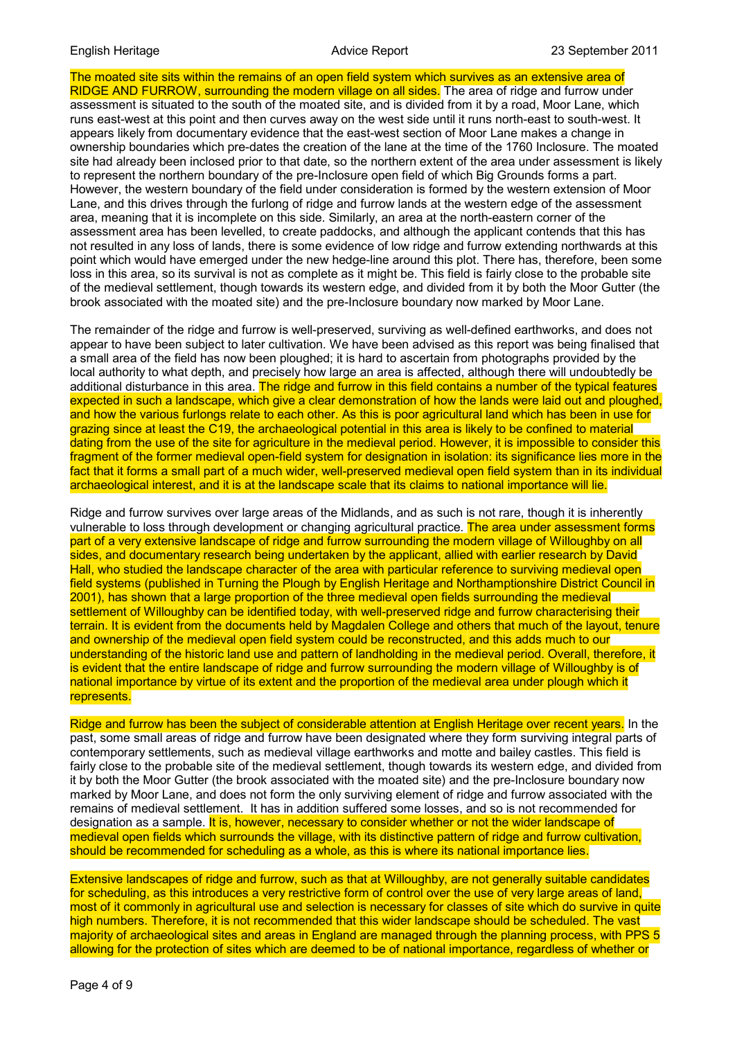The moated site sits within the remains of an open field system which survives as an extensive area of RIDGE AND FURROW, surrounding the modern village on all sides. The area of ridge and furrow under assessment is situated to the south of the moated site, and is divided from it by a road, Moor Lane, which runs east-west at this point and then curves away on the west side until it runs north-east to south-west. It appears likely from documentary evidence that the east-west section of Moor Lane makes a change in ownership boundaries which pre-dates the creation of the lane at the time of the 1760 Inclosure. The moated site had already been inclosed prior to that date, so the northern extent of the area under assessment is likely to represent the northern boundary of the pre-Inclosure open field of which Big Grounds forms a part. However, the western boundary of the field under consideration is formed by the western extension of Moor Lane, and this drives through the furlong of ridge and furrow lands at the western edge of the assessment area, meaning that it is incomplete on this side. Similarly, an area at the north-eastern corner of the assessment area has been levelled, to create paddocks, and although the applicant contends that this has not resulted in any loss of lands, there is some evidence of low ridge and furrow extending northwards at this point which would have emerged under the new hedge-line around this plot. There has, therefore, been some loss in this area, so its survival is not as complete as it might be. This field is fairly close to the probable site of the medieval settlement, though towards its western edge, and divided from it by both the Moor Gutter (the brook associated with the moated site) and the pre-Inclosure boundary now marked by Moor Lane.

The remainder of the ridge and furrow is well-preserved, surviving as well-defined earthworks, and does not appear to have been subject to later cultivation. We have been advised as this report was being finalised that a small area of the field has now been ploughed; it is hard to ascertain from photographs provided by the local authority to what depth, and precisely how large an area is affected, although there will undoubtedly be additional disturbance in this area. The ridge and furrow in this field contains a number of the typical features expected in such a landscape, which give a clear demonstration of how the lands were laid out and ploughed, and how the various furlongs relate to each other. As this is poor agricultural land which has been in use for grazing since at least the C19, the archaeological potential in this area is likely to be confined to material dating from the use of the site for agriculture in the medieval period. However, it is impossible to consider this fragment of the former medieval open-field system for designation in isolation: its significance lies more in the fact that it forms a small part of a much wider, well-preserved medieval open field system than in its individual archaeological interest, and it is at the landscape scale that its claims to national importance will lie.

Ridge and furrow survives over large areas of the Midlands, and as such is not rare, though it is inherently vulnerable to loss through development or changing agricultural practice. The area under assessment forms part of a very extensive landscape of ridge and furrow surrounding the modern village of Willoughby on all sides, and documentary research being undertaken by the applicant, allied with earlier research by David Hall, who studied the landscape character of the area with particular reference to surviving medieval open field systems (published in Turning the Plough by English Heritage and Northamptionshire District Council in 2001), has shown that a large proportion of the three medieval open fields surrounding the medieval settlement of Willoughby can be identified today, with well-preserved ridge and furrow characterising their terrain. It is evident from the documents held by Magdalen College and others that much of the layout, tenure and ownership of the medieval open field system could be reconstructed, and this adds much to our understanding of the historic land use and pattern of landholding in the medieval period. Overall, therefore, it is evident that the entire landscape of ridge and furrow surrounding the modern village of Willoughby is of national importance by virtue of its extent and the proportion of the medieval area under plough which it represents.

Ridge and furrow has been the subject of considerable attention at English Heritage over recent years. In the past, some small areas of ridge and furrow have been designated where they form surviving integral parts of contemporary settlements, such as medieval village earthworks and motte and bailey castles. This field is fairly close to the probable site of the medieval settlement, though towards its western edge, and divided from it by both the Moor Gutter (the brook associated with the moated site) and the pre-Inclosure boundary now marked by Moor Lane, and does not form the only surviving element of ridge and furrow associated with the remains of medieval settlement. It has in addition suffered some losses, and so is not recommended for designation as a sample. It is, however, necessary to consider whether or not the wider landscape of medieval open fields which surrounds the village, with its distinctive pattern of ridge and furrow cultivation, should be recommended for scheduling as a whole, as this is where its national importance lies.

Extensive landscapes of ridge and furrow, such as that at Willoughby, are not generally suitable candidates for scheduling, as this introduces a very restrictive form of control over the use of very large areas of land, most of it commonly in agricultural use and selection is necessary for classes of site which do survive in quite high numbers. Therefore, it is not recommended that this wider landscape should be scheduled. The vast majority of archaeological sites and areas in England are managed through the planning process, with PPS 5 allowing for the protection of sites which are deemed to be of national importance, regardless of whether or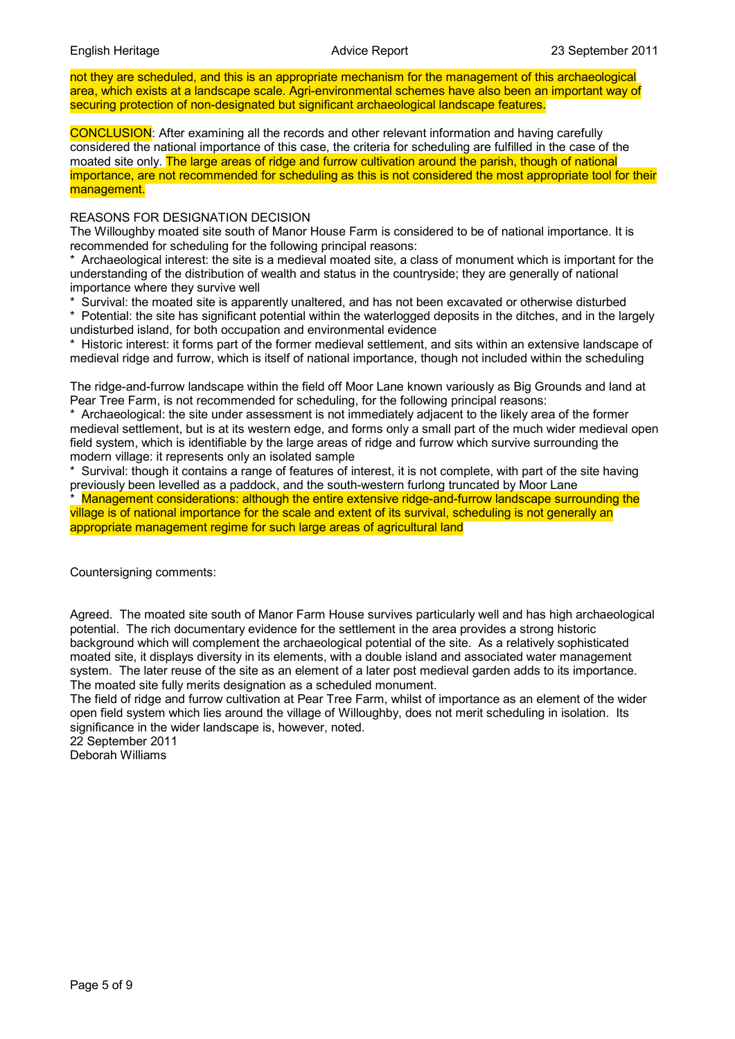not they are scheduled, and this is an appropriate mechanism for the management of this archaeological area, which exists at a landscape scale. Agri-environmental schemes have also been an important way of securing protection of non-designated but significant archaeological landscape features.

CONCLUSION: After examining all the records and other relevant information and having carefully considered the national importance of this case, the criteria for scheduling are fulfilled in the case of the moated site only. The large areas of ridge and furrow cultivation around the parish, though of national importance, are not recommended for scheduling as this is not considered the most appropriate tool for their management.

#### REASONS FOR DESIGNATION DECISION

The Willoughby moated site south of Manor House Farm is considered to be of national importance. It is recommended for scheduling for the following principal reasons:

\* Archaeological interest: the site is a medieval moated site, a class of monument which is important for the understanding of the distribution of wealth and status in the countryside; they are generally of national importance where they survive well

\* Survival: the moated site is apparently unaltered, and has not been excavated or otherwise disturbed

\* Potential: the site has significant potential within the waterlogged deposits in the ditches, and in the largely undisturbed island, for both occupation and environmental evidence

\* Historic interest: it forms part of the former medieval settlement, and sits within an extensive landscape of medieval ridge and furrow, which is itself of national importance, though not included within the scheduling

The ridge-and-furrow landscape within the field off Moor Lane known variously as Big Grounds and land at Pear Tree Farm, is not recommended for scheduling, for the following principal reasons:

Archaeological: the site under assessment is not immediately adjacent to the likely area of the former medieval settlement, but is at its western edge, and forms only a small part of the much wider medieval open field system, which is identifiable by the large areas of ridge and furrow which survive surrounding the modern village: it represents only an isolated sample

\* Survival: though it contains a range of features of interest, it is not complete, with part of the site having previously been levelled as a paddock, and the south-western furlong truncated by Moor Lane

Management considerations: although the entire extensive ridge-and-furrow landscape surrounding the village is of national importance for the scale and extent of its survival, scheduling is not generally an appropriate management regime for such large areas of agricultural land

Countersigning comments:

Agreed. The moated site south of Manor Farm House survives particularly well and has high archaeological potential. The rich documentary evidence for the settlement in the area provides a strong historic background which will complement the archaeological potential of the site. As a relatively sophisticated moated site, it displays diversity in its elements, with a double island and associated water management system. The later reuse of the site as an element of a later post medieval garden adds to its importance. The moated site fully merits designation as a scheduled monument.

The field of ridge and furrow cultivation at Pear Tree Farm, whilst of importance as an element of the wider open field system which lies around the village of Willoughby, does not merit scheduling in isolation. Its significance in the wider landscape is, however, noted.

22 September 2011 Deborah Williams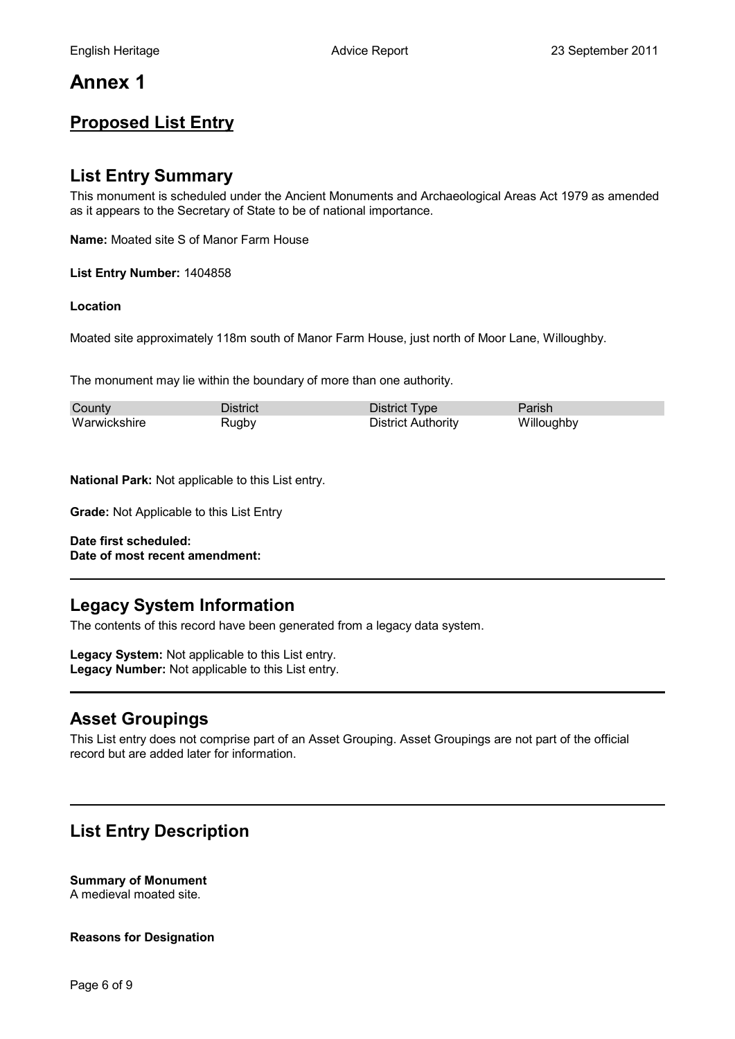# **Annex 1**

# **Proposed List Entry**

### **List Entry Summary**

This monument is scheduled under the Ancient Monuments and Archaeological Areas Act 1979 as amended as it appears to the Secretary of State to be of national importance.

**Name:** Moated site S of Manor Farm House

**List Entry Number:** 1404858

#### **Location**

Moated site approximately 118m south of Manor Farm House, just north of Moor Lane, Willoughby.

The monument may lie within the boundary of more than one authority.

| County       | District | District Type             | Parish     |
|--------------|----------|---------------------------|------------|
| Warwickshire | Rugbv    | <b>District Authority</b> | Willoughby |

**National Park:** Not applicable to this List entry.

**Grade:** Not Applicable to this List Entry

**Date first scheduled: Date of most recent amendment:**

## **Legacy System Information**

The contents of this record have been generated from a legacy data system.

**Legacy System:** Not applicable to this List entry. **Legacy Number:** Not applicable to this List entry.

## **Asset Groupings**

This List entry does not comprise part of an Asset Grouping. Asset Groupings are not part of the official record but are added later for information.

# **List Entry Description**

### **Summary of Monument**

A medieval moated site.

**Reasons for Designation**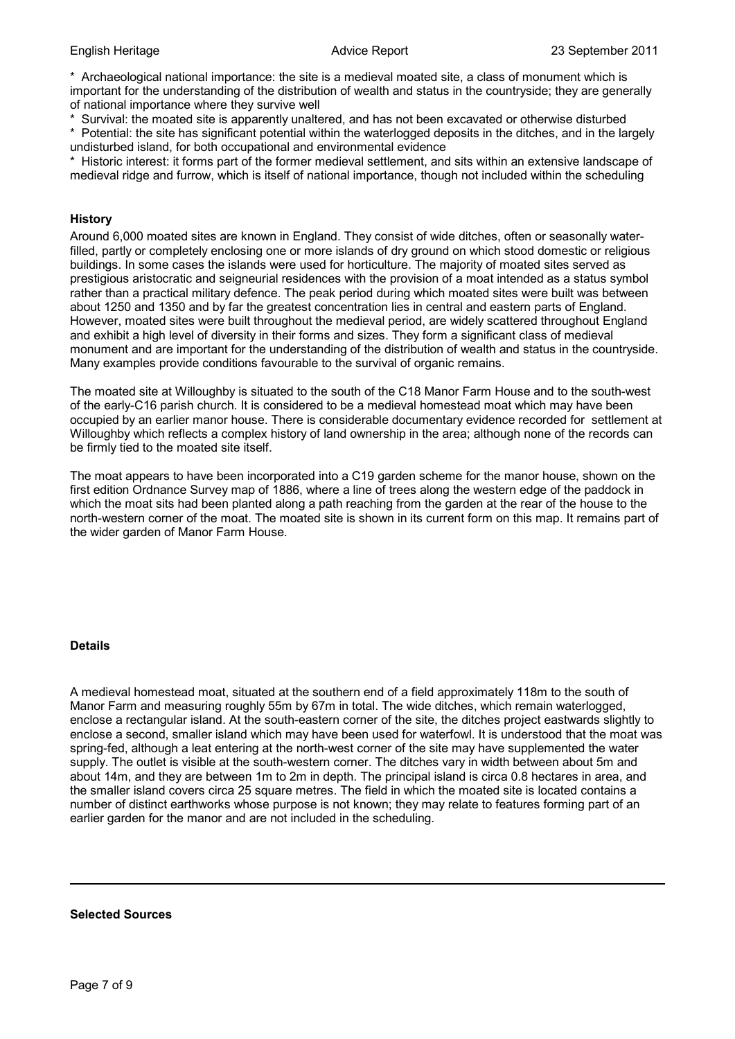\* Archaeological national importance: the site is a medieval moated site, a class of monument which is important for the understanding of the distribution of wealth and status in the countryside; they are generally of national importance where they survive well

\* Survival: the moated site is apparently unaltered, and has not been excavated or otherwise disturbed

\* Potential: the site has significant potential within the waterlogged deposits in the ditches, and in the largely undisturbed island, for both occupational and environmental evidence

Historic interest: it forms part of the former medieval settlement, and sits within an extensive landscape of medieval ridge and furrow, which is itself of national importance, though not included within the scheduling

#### **History**

Around 6,000 moated sites are known in England. They consist of wide ditches, often or seasonally waterfilled, partly or completely enclosing one or more islands of dry ground on which stood domestic or religious buildings. In some cases the islands were used for horticulture. The majority of moated sites served as prestigious aristocratic and seigneurial residences with the provision of a moat intended as a status symbol rather than a practical military defence. The peak period during which moated sites were built was between about 1250 and 1350 and by far the greatest concentration lies in central and eastern parts of England. However, moated sites were built throughout the medieval period, are widely scattered throughout England and exhibit a high level of diversity in their forms and sizes. They form a significant class of medieval monument and are important for the understanding of the distribution of wealth and status in the countryside. Many examples provide conditions favourable to the survival of organic remains.

The moated site at Willoughby is situated to the south of the C18 Manor Farm House and to the south-west of the early-C16 parish church. It is considered to be a medieval homestead moat which may have been occupied by an earlier manor house. There is considerable documentary evidence recorded for settlement at Willoughby which reflects a complex history of land ownership in the area; although none of the records can be firmly tied to the moated site itself.

The moat appears to have been incorporated into a C19 garden scheme for the manor house, shown on the first edition Ordnance Survey map of 1886, where a line of trees along the western edge of the paddock in which the moat sits had been planted along a path reaching from the garden at the rear of the house to the north-western corner of the moat. The moated site is shown in its current form on this map. It remains part of the wider garden of Manor Farm House.

#### **Details**

A medieval homestead moat, situated at the southern end of a field approximately 118m to the south of Manor Farm and measuring roughly 55m by 67m in total. The wide ditches, which remain waterlogged, enclose a rectangular island. At the south-eastern corner of the site, the ditches project eastwards slightly to enclose a second, smaller island which may have been used for waterfowl. It is understood that the moat was spring-fed, although a leat entering at the north-west corner of the site may have supplemented the water supply. The outlet is visible at the south-western corner. The ditches vary in width between about 5m and about 14m, and they are between 1m to 2m in depth. The principal island is circa 0.8 hectares in area, and the smaller island covers circa 25 square metres. The field in which the moated site is located contains a number of distinct earthworks whose purpose is not known; they may relate to features forming part of an earlier garden for the manor and are not included in the scheduling.

#### **Selected Sources**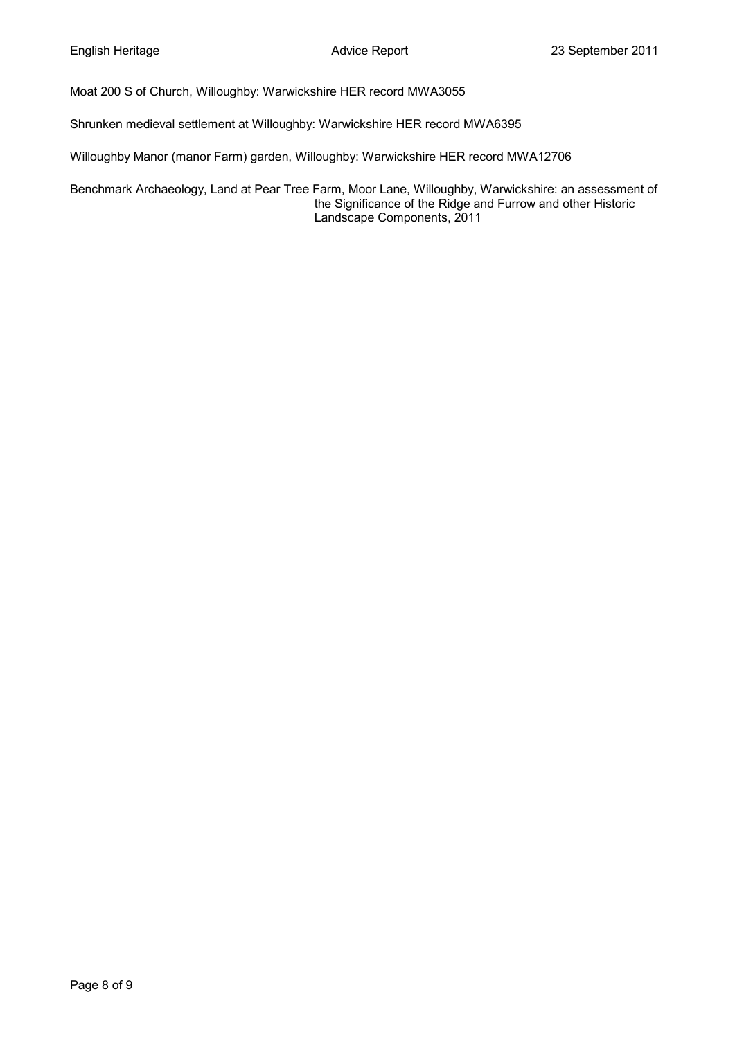Moat 200 S of Church, Willoughby: Warwickshire HER record MWA3055

Shrunken medieval settlement at Willoughby: Warwickshire HER record MWA6395

Willoughby Manor (manor Farm) garden, Willoughby: Warwickshire HER record MWA12706

Benchmark Archaeology, Land at Pear Tree Farm, Moor Lane, Willoughby, Warwickshire: an assessment of the Significance of the Ridge and Furrow and other Historic Landscape Components, 2011